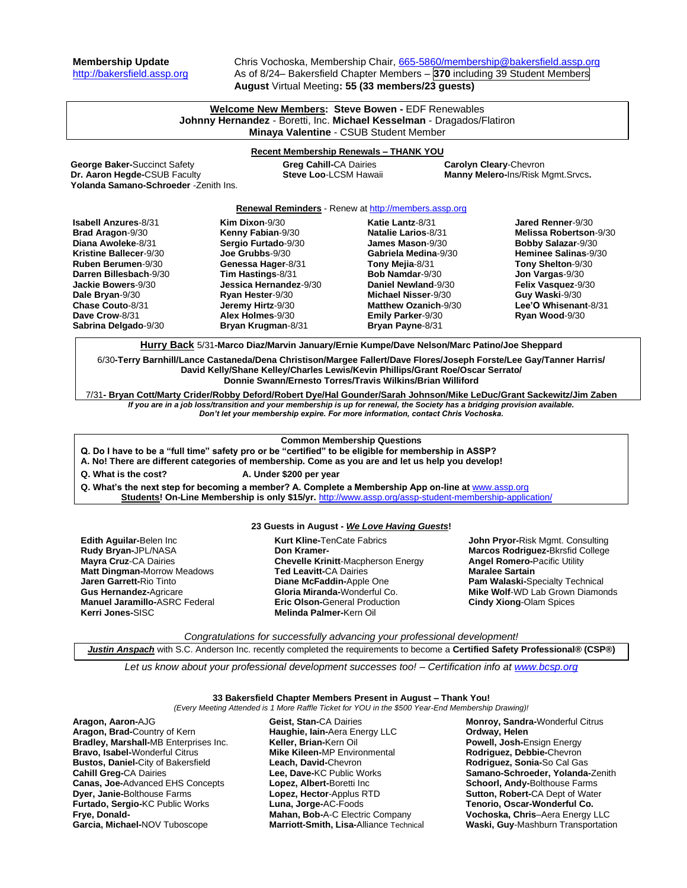**Membership Update** Chris Vochoska, Membership Chair, [665-5860/membership@bakersfield.assp.org](mailto:665-5860/membership@bakersfield.assp.org) [http://bakersfield.assp.org](http://bakersfield.assp.org/) As of 8/24– Bakersfield Chapter Members – **370** including 39 Student Members **August** Virtual Meeting**: 55 (33 members/23 guests)**

# **Welcome New Members: Steve Bowen -** EDF Renewables **Johnny Hernandez** - Boretti, Inc. **Michael Kesselman** - Dragados/Flatiron **Minaya Valentine** - CSUB Student Member

# **Recent Membership Renewals – THANK YOU**

**George Baker-**Succinct Safety **Greg Cahill-CA Dairies <b>Carolyn Cleary-**Chevron<br> **Carolyn Cleary-Chevron Carolyn Cleary-Connect Steve Loo-LCSM Hawaii <b>Cleary-Chevron Manny Melero-Ins/Risk N** Yolanda Samano-Schroeder -Zenith Ins.

**Manny Melero-Ins/Risk Mgmt.Srvcs.** 

### **Renewal Reminders** - Renew a[t http://members.assp.org](http://members.assp.org/)

| <b>Isabell Anzures-8/31</b> | Kim Dixon- $9/30$      | Katie Lantz-8/31           | Jared Renner-9/30         |
|-----------------------------|------------------------|----------------------------|---------------------------|
| <b>Brad Aragon-9/30</b>     | Kenny Fabian-9/30      | Natalie Larios-8/31        | Melissa Robertson-9/30    |
| Diana Awoleke-8/31          | Sergio Furtado-9/30    | <b>James Mason-9/30</b>    | <b>Bobby Salazar-9/30</b> |
| Kristine Ballecer-9/30      | Joe Grubbs-9/30        | Gabriela Medina-9/30       | Heminee Salinas-9/30      |
| <b>Ruben Berumen-9/30</b>   | Genessa Hager-8/31     | Tony Mejia-8/31            | Tony Shelton-9/30         |
| Darren Billesbach-9/30      | Tim Hastings-8/31      | <b>Bob Namdar-9/30</b>     | Jon Vargas-9/30           |
| Jackie Bowers-9/30          | Jessica Hernandez-9/30 | Daniel Newland-9/30        | Felix Vasquez-9/30        |
| Dale Bryan-9/30             | Ryan Hester-9/30       | <b>Michael Nisser-9/30</b> | Guy Waski-9/30            |
| Chase Couto-8/31            | Jeremy Hirtz-9/30      | Matthew Ozanich-9/30       | Lee'O Whisenant-8/31      |
| Dave Crow-8/31              | Alex Holmes-9/30       | <b>Emily Parker-9/30</b>   | Ryan Wood-9/30            |
| Sabrina Delgado-9/30        | Bryan Krugman-8/31     | Bryan Payne-8/31           |                           |
|                             |                        |                            |                           |

**Hurry Back** 5/31**-Marco Diaz/Marvin January/Ernie Kumpe/Dave Nelson/Marc Patino/Joe Sheppard**

6/30**-Terry Barnhill/Lance Castaneda/Dena Christison/Margee Fallert/Dave Flores/Joseph Forste/Lee Gay/Tanner Harris/ David Kelly/Shane Kelley/Charles Lewis/Kevin Phillips/Grant Roe/Oscar Serrato/ Donnie Swann/Ernesto Torres/Travis Wilkins/Brian Williford**

7/31**- Bryan Cott/Marty Crider/Robby Deford/Robert Dye/Hal Gounder/Sarah Johnson/Mike LeDuc/Grant Sackewitz/Jim Zaben** *If you are in a job loss/transition and your membership is up for renewal, the Society has a bridging provision available.* 

*Don't let your membership expire. For more information, contact Chris Vochoska.* 

# **Common Membership Questions**

- **Q. Do I have to be a "full time" safety pro or be "certified" to be eligible for membership in ASSP?**
- **A. No! There are different categories of membership. Come as you are and let us help you develop!**

**Q. What is the cost? A. Under \$200 per year**

Q. What's the next step for becoming a member? A. Complete a Membership App on-line at **[www.assp.org](http://www.assp.org/) Students! On-Line Membership is only \$15/yr.** <http://www.assp.org/assp-student-membership-application/>

# **23 Guests in August -** *We Love Having Guests***!**

**Edith Aguilar-**Belen Inc **Rudy Bryan-**JPL/NASA **Mayra Cruz**-CA Dairies **Matt Dingman-**Morrow Meadows **Jaren Garrett-**Rio Tinto **Gus Hernandez-**Agricare **Manuel Jaramillo-**ASRC Federal **Kerri Jones-**SISC

**Kurt Kline-**TenCate Fabrics **Don Kramer-Chevelle Krinitt**-Macpherson Energy **Ted Leavitt-**CA Dairies **Diane McFaddin-**Apple One **Gloria Miranda-**Wonderful Co. **Eric Olson-**General Production **Melinda Palmer-**Kern Oil

**John Pryor-**Risk Mgmt. Consulting **Marcos Rodriguez-**Bkrsfid College **Angel Romero-**Pacific Utility **Maralee Sartain Pam Walaski-**Specialty Technical **Mike Wolf**-WD Lab Grown Diamonds **Cindy Xiong**-Olam Spices

*Congratulations for successfully advancing your professional development!*

*Justin Anspach* with S.C. Anderson Inc. recently completed the requirements to become a **Certified Safety Professional® (CSP®)**

*Let us know about your professional development successes too! – Certification info a[t www.bcsp.org](http://www.bcsp.org/)*

# **33 Bakersfield Chapter Members Present in August – Thank You!**

*(Every Meeting Attended is 1 More Raffle Ticket for YOU in the \$500 Year-End Membership Drawing)!*

**Aragon, Aaron-**AJG **Aragon, Brad-**Country of Kern **Bradley, Marshall-**MB Enterprises Inc. **Bravo, Isabel-**Wonderful Citrus **Bustos, Daniel-**City of Bakersfield **Cahill Greg-**CA Dairies **Canas, Joe-**Advanced EHS Concepts **Dyer, Janie-**Bolthouse Farms **Furtado, Sergio-**KC Public Works **Frye, Donald-Garcia, Michael-**NOV Tuboscope

**Geist, Stan-**CA Dairies **Haughie, Iain-**Aera Energy LLC **Keller, Brian-**Kern Oil **Mike Kileen-**MP Environmental **Leach, David-**Chevron **Lee, Dave-**KC Public Works **Lopez, Albert-**Boretti Inc **Lopez, Hector**-Applus RTD **Luna, Jorge-**AC-Foods **Mahan, Bob-**A-C Electric Company **Marriott-Smith, Lisa-**Alliance Technical **Monroy, Sandra-**Wonderful Citrus **Ordway, Helen Powell, Josh-**Ensign Energy **Rodriguez, Debbie-**Chevron **Rodriguez, Sonia-**So Cal Gas **Samano-Schroeder, Yolanda-**Zenith **Schoorl, Andy-**Bolthouse Farms **Sutton, Robert-**CA Dept of Water **Tenorio, Oscar-Wonderful Co. Vochoska, Chris**–Aera Energy LLC **Waski, Guy**-Mashburn Transportation